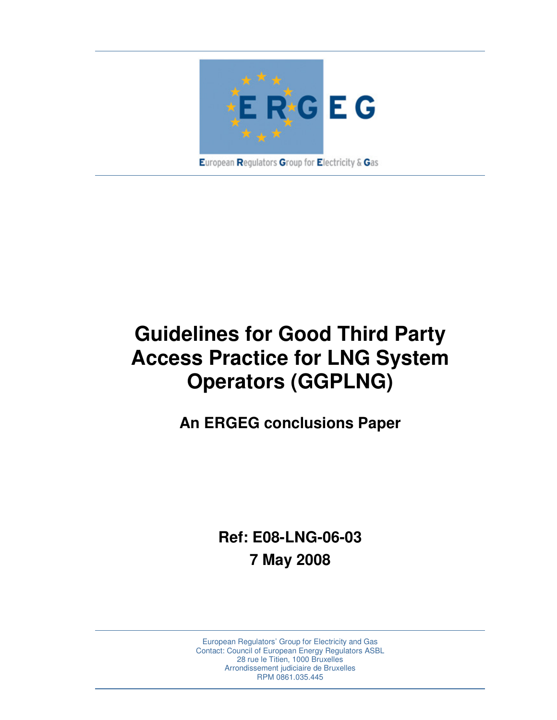

**Guidelines for Good Third Party Access Practice for LNG System Operators (GGPLNG)** 

**An ERGEG conclusions Paper** 

**Ref: E08-LNG-06-03 7 May 2008** 

European Regulators' Group for Electricity and Gas Contact: Council of European Energy Regulators ASBL 28 rue le Titien, 1000 Bruxelles Arrondissement judiciaire de Bruxelles RPM 0861.035.445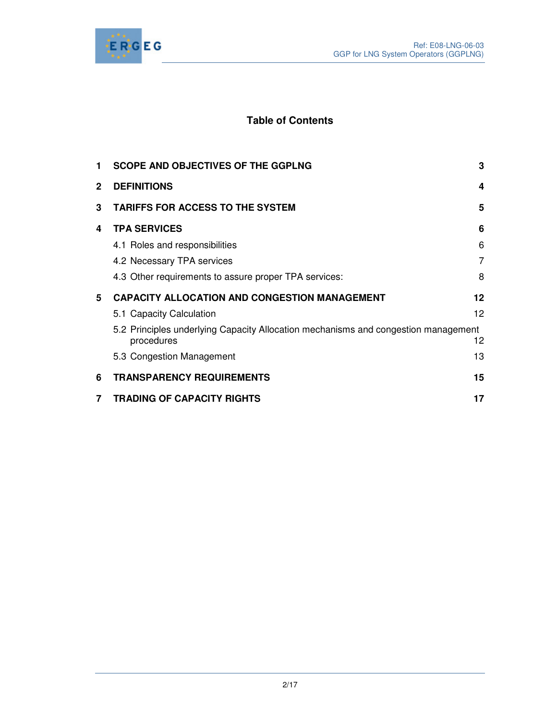

# **Table of Contents**

| 1.           | <b>SCOPE AND OBJECTIVES OF THE GGPLNG</b>                                                        | 3               |
|--------------|--------------------------------------------------------------------------------------------------|-----------------|
| $\mathbf{2}$ | <b>DEFINITIONS</b>                                                                               | 4               |
| 3            | <b>TARIFFS FOR ACCESS TO THE SYSTEM</b>                                                          | 5               |
| 4            | <b>TPA SERVICES</b>                                                                              | 6               |
|              | 4.1 Roles and responsibilities                                                                   | 6               |
|              | 4.2 Necessary TPA services                                                                       | 7               |
|              | 4.3 Other requirements to assure proper TPA services:                                            | 8               |
| 5            | <b>CAPACITY ALLOCATION AND CONGESTION MANAGEMENT</b>                                             | 12              |
|              | 5.1 Capacity Calculation                                                                         | 12 <sup>2</sup> |
|              | 5.2 Principles underlying Capacity Allocation mechanisms and congestion management<br>procedures | 12.             |
|              | 5.3 Congestion Management                                                                        | 13              |
| 6            | <b>TRANSPARENCY REQUIREMENTS</b>                                                                 | 15              |
| 7            | <b>TRADING OF CAPACITY RIGHTS</b>                                                                | 17              |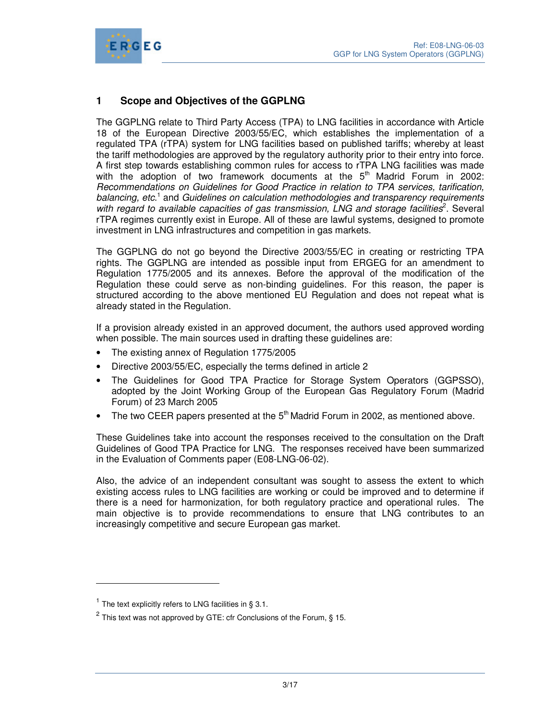

# **1 Scope and Objectives of the GGPLNG**

The GGPLNG relate to Third Party Access (TPA) to LNG facilities in accordance with Article 18 of the European Directive 2003/55/EC, which establishes the implementation of a regulated TPA (rTPA) system for LNG facilities based on published tariffs; whereby at least the tariff methodologies are approved by the regulatory authority prior to their entry into force. A first step towards establishing common rules for access to rTPA LNG facilities was made with the adoption of two framework documents at the  $5<sup>th</sup>$  Madrid Forum in 2002: Recommendations on Guidelines for Good Practice in relation to TPA services, tarification, balancing, etc.<sup>1</sup> and Guidelines on calculation methodologies and transparency requirements with regard to available capacities of gas transmission, LNG and storage facilities<sup>2</sup>. Several rTPA regimes currently exist in Europe. All of these are lawful systems, designed to promote investment in LNG infrastructures and competition in gas markets.

The GGPLNG do not go beyond the Directive 2003/55/EC in creating or restricting TPA rights. The GGPLNG are intended as possible input from ERGEG for an amendment to Regulation 1775/2005 and its annexes. Before the approval of the modification of the Regulation these could serve as non-binding guidelines. For this reason, the paper is structured according to the above mentioned EU Regulation and does not repeat what is already stated in the Regulation.

If a provision already existed in an approved document, the authors used approved wording when possible. The main sources used in drafting these guidelines are:

- The existing annex of Regulation 1775/2005
- Directive 2003/55/EC, especially the terms defined in article 2
- The Guidelines for Good TPA Practice for Storage System Operators (GGPSSO), adopted by the Joint Working Group of the European Gas Regulatory Forum (Madrid Forum) of 23 March 2005
- The two CEER papers presented at the  $5<sup>th</sup>$  Madrid Forum in 2002, as mentioned above.

These Guidelines take into account the responses received to the consultation on the Draft Guidelines of Good TPA Practice for LNG. The responses received have been summarized in the Evaluation of Comments paper (E08-LNG-06-02).

Also, the advice of an independent consultant was sought to assess the extent to which existing access rules to LNG facilities are working or could be improved and to determine if there is a need for harmonization, for both regulatory practice and operational rules. The main objective is to provide recommendations to ensure that LNG contributes to an increasingly competitive and secure European gas market.

-

<sup>&</sup>lt;sup>1</sup> The text explicitly refers to LNG facilities in § 3.1.

<sup>&</sup>lt;sup>2</sup> This text was not approved by GTE: cfr Conclusions of the Forum, § 15.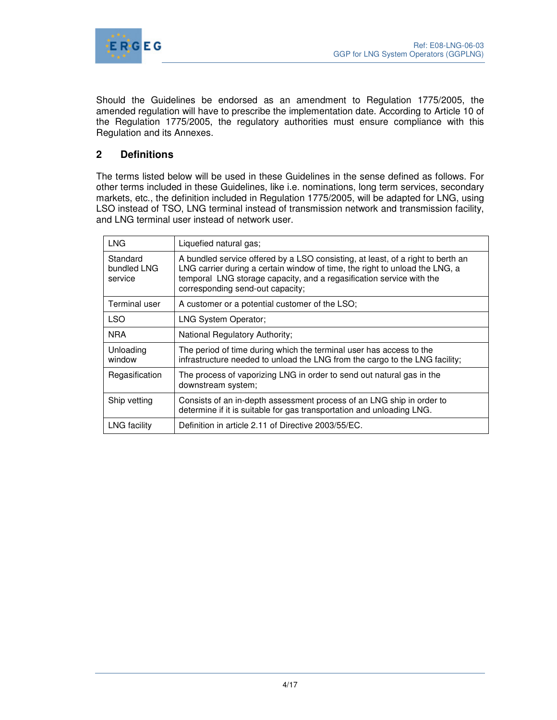

Should the Guidelines be endorsed as an amendment to Regulation 1775/2005, the amended regulation will have to prescribe the implementation date. According to Article 10 of the Regulation 1775/2005, the regulatory authorities must ensure compliance with this Regulation and its Annexes.

## **2 Definitions**

The terms listed below will be used in these Guidelines in the sense defined as follows. For other terms included in these Guidelines, like i.e. nominations, long term services, secondary markets, etc., the definition included in Regulation 1775/2005, will be adapted for LNG, using LSO instead of TSO, LNG terminal instead of transmission network and transmission facility, and LNG terminal user instead of network user.

| <b>LNG</b>                         | Liquefied natural gas;                                                                                                                                                                                                                                                     |
|------------------------------------|----------------------------------------------------------------------------------------------------------------------------------------------------------------------------------------------------------------------------------------------------------------------------|
| Standard<br>bundled LNG<br>service | A bundled service offered by a LSO consisting, at least, of a right to berth an<br>LNG carrier during a certain window of time, the right to unload the LNG, a<br>temporal LNG storage capacity, and a regasification service with the<br>corresponding send-out capacity; |
| Terminal user                      | A customer or a potential customer of the LSO;                                                                                                                                                                                                                             |
| <b>LSO</b>                         | <b>LNG System Operator;</b>                                                                                                                                                                                                                                                |
| <b>NRA</b>                         | National Regulatory Authority;                                                                                                                                                                                                                                             |
| Unloading<br>window                | The period of time during which the terminal user has access to the<br>infrastructure needed to unload the LNG from the cargo to the LNG facility;                                                                                                                         |
| Regasification                     | The process of vaporizing LNG in order to send out natural gas in the<br>downstream system:                                                                                                                                                                                |
| Ship vetting                       | Consists of an in-depth assessment process of an LNG ship in order to<br>determine if it is suitable for gas transportation and unloading LNG.                                                                                                                             |
| <b>LNG</b> facility                | Definition in article 2.11 of Directive 2003/55/EC.                                                                                                                                                                                                                        |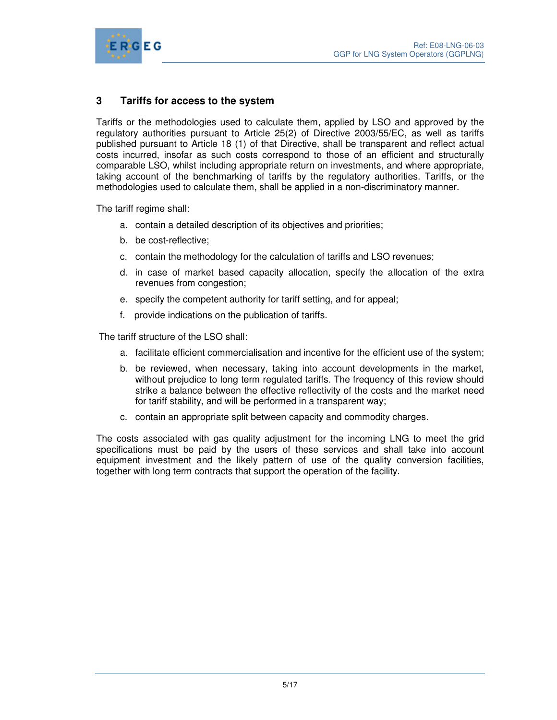

## **3 Tariffs for access to the system**

Tariffs or the methodologies used to calculate them, applied by LSO and approved by the regulatory authorities pursuant to Article 25(2) of Directive 2003/55/EC, as well as tariffs published pursuant to Article 18 (1) of that Directive, shall be transparent and reflect actual costs incurred, insofar as such costs correspond to those of an efficient and structurally comparable LSO, whilst including appropriate return on investments, and where appropriate, taking account of the benchmarking of tariffs by the regulatory authorities. Tariffs, or the methodologies used to calculate them, shall be applied in a non-discriminatory manner.

The tariff regime shall:

- a. contain a detailed description of its objectives and priorities;
- b. be cost-reflective;
- c. contain the methodology for the calculation of tariffs and LSO revenues;
- d. in case of market based capacity allocation, specify the allocation of the extra revenues from congestion;
- e. specify the competent authority for tariff setting, and for appeal;
- f. provide indications on the publication of tariffs.

The tariff structure of the LSO shall:

- a. facilitate efficient commercialisation and incentive for the efficient use of the system;
- b. be reviewed, when necessary, taking into account developments in the market, without prejudice to long term regulated tariffs. The frequency of this review should strike a balance between the effective reflectivity of the costs and the market need for tariff stability, and will be performed in a transparent way;
- c. contain an appropriate split between capacity and commodity charges.

The costs associated with gas quality adjustment for the incoming LNG to meet the grid specifications must be paid by the users of these services and shall take into account equipment investment and the likely pattern of use of the quality conversion facilities, together with long term contracts that support the operation of the facility.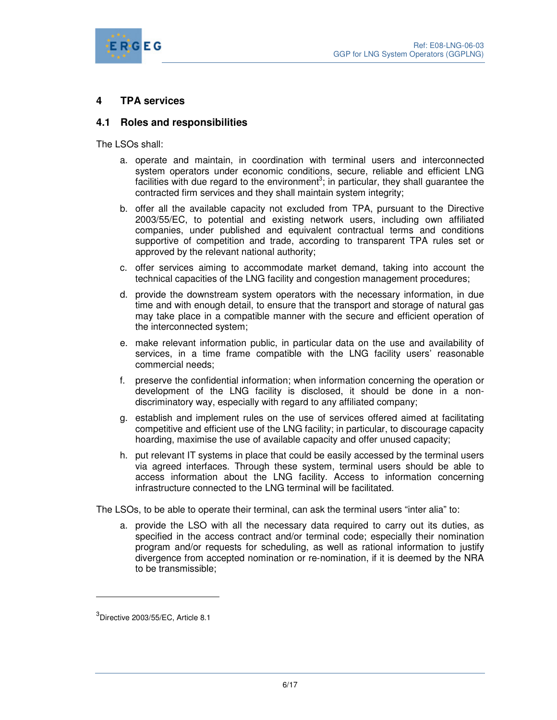

## **4 TPA services**

### **4.1 Roles and responsibilities**

The LSOs shall:

- a. operate and maintain, in coordination with terminal users and interconnected system operators under economic conditions, secure, reliable and efficient LNG facilities with due regard to the environment<sup>3</sup>; in particular, they shall guarantee the contracted firm services and they shall maintain system integrity;
- b. offer all the available capacity not excluded from TPA, pursuant to the Directive 2003/55/EC, to potential and existing network users, including own affiliated companies, under published and equivalent contractual terms and conditions supportive of competition and trade, according to transparent TPA rules set or approved by the relevant national authority;
- c. offer services aiming to accommodate market demand, taking into account the technical capacities of the LNG facility and congestion management procedures;
- d. provide the downstream system operators with the necessary information, in due time and with enough detail, to ensure that the transport and storage of natural gas may take place in a compatible manner with the secure and efficient operation of the interconnected system;
- e. make relevant information public, in particular data on the use and availability of services, in a time frame compatible with the LNG facility users' reasonable commercial needs;
- f. preserve the confidential information; when information concerning the operation or development of the LNG facility is disclosed, it should be done in a nondiscriminatory way, especially with regard to any affiliated company;
- g. establish and implement rules on the use of services offered aimed at facilitating competitive and efficient use of the LNG facility; in particular, to discourage capacity hoarding, maximise the use of available capacity and offer unused capacity;
- h. put relevant IT systems in place that could be easily accessed by the terminal users via agreed interfaces. Through these system, terminal users should be able to access information about the LNG facility. Access to information concerning infrastructure connected to the LNG terminal will be facilitated.

The LSOs, to be able to operate their terminal, can ask the terminal users "inter alia" to:

a. provide the LSO with all the necessary data required to carry out its duties, as specified in the access contract and/or terminal code; especially their nomination program and/or requests for scheduling, as well as rational information to justify divergence from accepted nomination or re-nomination, if it is deemed by the NRA to be transmissible;

 $\ddot{ }$ 

 $^3$ Directive 2003/55/EC, Article 8.1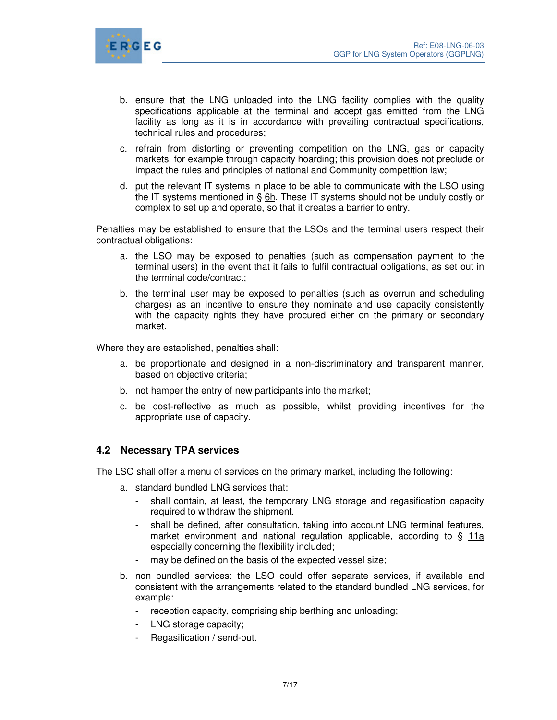

- b. ensure that the LNG unloaded into the LNG facility complies with the quality specifications applicable at the terminal and accept gas emitted from the LNG facility as long as it is in accordance with prevailing contractual specifications, technical rules and procedures;
- c. refrain from distorting or preventing competition on the LNG, gas or capacity markets, for example through capacity hoarding; this provision does not preclude or impact the rules and principles of national and Community competition law;
- d. put the relevant IT systems in place to be able to communicate with the LSO using the IT systems mentioned in §  $6h$ . These IT systems should not be unduly costly or complex to set up and operate, so that it creates a barrier to entry.

Penalties may be established to ensure that the LSOs and the terminal users respect their contractual obligations:

- a. the LSO may be exposed to penalties (such as compensation payment to the terminal users) in the event that it fails to fulfil contractual obligations, as set out in the terminal code/contract;
- b. the terminal user may be exposed to penalties (such as overrun and scheduling charges) as an incentive to ensure they nominate and use capacity consistently with the capacity rights they have procured either on the primary or secondary market.

Where they are established, penalties shall:

- a. be proportionate and designed in a non-discriminatory and transparent manner, based on objective criteria;
- b. not hamper the entry of new participants into the market;
- c. be cost-reflective as much as possible, whilst providing incentives for the appropriate use of capacity.

### **4.2 Necessary TPA services**

The LSO shall offer a menu of services on the primary market, including the following:

- a. standard bundled LNG services that:
	- shall contain, at least, the temporary LNG storage and regasification capacity required to withdraw the shipment.
	- shall be defined, after consultation, taking into account LNG terminal features, market environment and national regulation applicable, according to § 11a especially concerning the flexibility included;
	- may be defined on the basis of the expected vessel size;
- b. non bundled services: the LSO could offer separate services, if available and consistent with the arrangements related to the standard bundled LNG services, for example:
	- reception capacity, comprising ship berthing and unloading;
	- LNG storage capacity;
	- Regasification / send-out.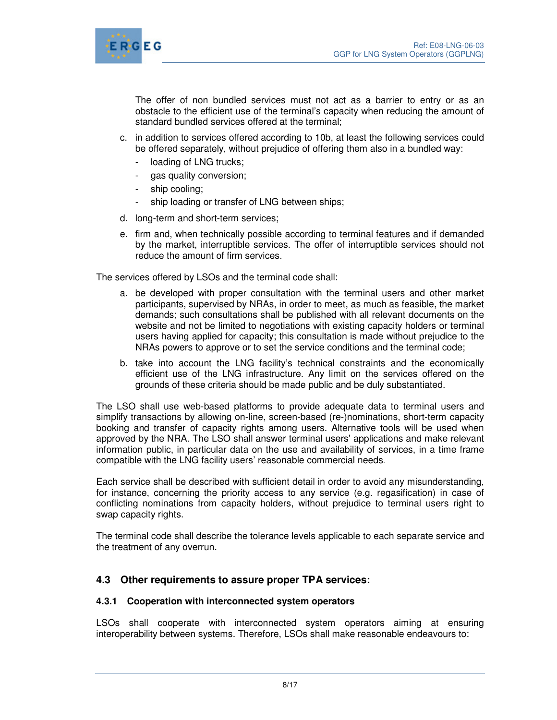

The offer of non bundled services must not act as a barrier to entry or as an obstacle to the efficient use of the terminal's capacity when reducing the amount of standard bundled services offered at the terminal;

- c. in addition to services offered according to 10b, at least the following services could be offered separately, without prejudice of offering them also in a bundled way:
	- loading of LNG trucks;
	- gas quality conversion;
	- ship cooling;
	- ship loading or transfer of LNG between ships;
- d. long-term and short-term services;
- e. firm and, when technically possible according to terminal features and if demanded by the market, interruptible services. The offer of interruptible services should not reduce the amount of firm services.

The services offered by LSOs and the terminal code shall:

- a. be developed with proper consultation with the terminal users and other market participants, supervised by NRAs, in order to meet, as much as feasible, the market demands; such consultations shall be published with all relevant documents on the website and not be limited to negotiations with existing capacity holders or terminal users having applied for capacity; this consultation is made without prejudice to the NRAs powers to approve or to set the service conditions and the terminal code;
- b. take into account the LNG facility's technical constraints and the economically efficient use of the LNG infrastructure. Any limit on the services offered on the grounds of these criteria should be made public and be duly substantiated.

The LSO shall use web-based platforms to provide adequate data to terminal users and simplify transactions by allowing on-line, screen-based (re-)nominations, short-term capacity booking and transfer of capacity rights among users. Alternative tools will be used when approved by the NRA. The LSO shall answer terminal users' applications and make relevant information public, in particular data on the use and availability of services, in a time frame compatible with the LNG facility users' reasonable commercial needs.

Each service shall be described with sufficient detail in order to avoid any misunderstanding, for instance, concerning the priority access to any service (e.g. regasification) in case of conflicting nominations from capacity holders, without prejudice to terminal users right to swap capacity rights.

The terminal code shall describe the tolerance levels applicable to each separate service and the treatment of any overrun.

# **4.3 Other requirements to assure proper TPA services:**

### **4.3.1 Cooperation with interconnected system operators**

LSOs shall cooperate with interconnected system operators aiming at ensuring interoperability between systems. Therefore, LSOs shall make reasonable endeavours to: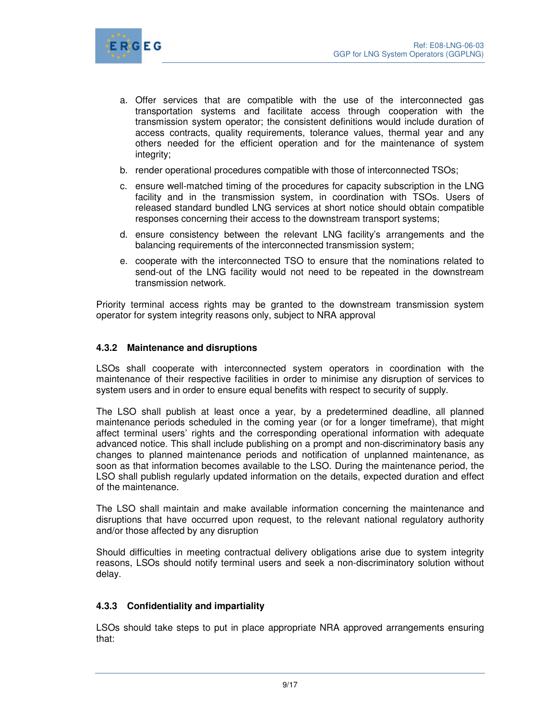

- a. Offer services that are compatible with the use of the interconnected gas transportation systems and facilitate access through cooperation with the transmission system operator; the consistent definitions would include duration of access contracts, quality requirements, tolerance values, thermal year and any others needed for the efficient operation and for the maintenance of system integrity;
- b. render operational procedures compatible with those of interconnected TSOs;
- c. ensure well-matched timing of the procedures for capacity subscription in the LNG facility and in the transmission system, in coordination with TSOs. Users of released standard bundled LNG services at short notice should obtain compatible responses concerning their access to the downstream transport systems;
- d. ensure consistency between the relevant LNG facility's arrangements and the balancing requirements of the interconnected transmission system;
- e. cooperate with the interconnected TSO to ensure that the nominations related to send-out of the LNG facility would not need to be repeated in the downstream transmission network.

Priority terminal access rights may be granted to the downstream transmission system operator for system integrity reasons only, subject to NRA approval

#### **4.3.2 Maintenance and disruptions**

LSOs shall cooperate with interconnected system operators in coordination with the maintenance of their respective facilities in order to minimise any disruption of services to system users and in order to ensure equal benefits with respect to security of supply.

The LSO shall publish at least once a year, by a predetermined deadline, all planned maintenance periods scheduled in the coming year (or for a longer timeframe), that might affect terminal users' rights and the corresponding operational information with adequate advanced notice. This shall include publishing on a prompt and non-discriminatory basis any changes to planned maintenance periods and notification of unplanned maintenance, as soon as that information becomes available to the LSO. During the maintenance period, the LSO shall publish regularly updated information on the details, expected duration and effect of the maintenance.

The LSO shall maintain and make available information concerning the maintenance and disruptions that have occurred upon request, to the relevant national regulatory authority and/or those affected by any disruption

Should difficulties in meeting contractual delivery obligations arise due to system integrity reasons, LSOs should notify terminal users and seek a non-discriminatory solution without delay.

#### **4.3.3 Confidentiality and impartiality**

LSOs should take steps to put in place appropriate NRA approved arrangements ensuring that: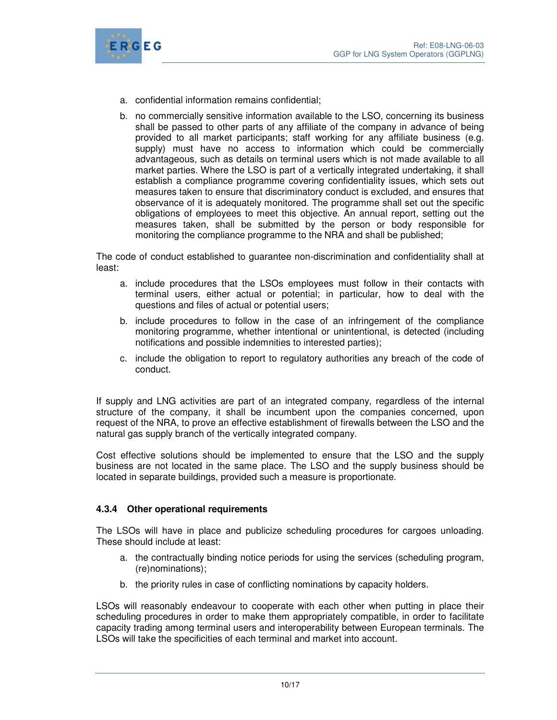

- a. confidential information remains confidential;
- b. no commercially sensitive information available to the LSO, concerning its business shall be passed to other parts of any affiliate of the company in advance of being provided to all market participants; staff working for any affiliate business (e.g. supply) must have no access to information which could be commercially advantageous, such as details on terminal users which is not made available to all market parties. Where the LSO is part of a vertically integrated undertaking, it shall establish a compliance programme covering confidentiality issues, which sets out measures taken to ensure that discriminatory conduct is excluded, and ensures that observance of it is adequately monitored. The programme shall set out the specific obligations of employees to meet this objective. An annual report, setting out the measures taken, shall be submitted by the person or body responsible for monitoring the compliance programme to the NRA and shall be published;

The code of conduct established to guarantee non-discrimination and confidentiality shall at least:

- a. include procedures that the LSOs employees must follow in their contacts with terminal users, either actual or potential; in particular, how to deal with the questions and files of actual or potential users;
- b. include procedures to follow in the case of an infringement of the compliance monitoring programme, whether intentional or unintentional, is detected (including notifications and possible indemnities to interested parties);
- c. include the obligation to report to regulatory authorities any breach of the code of conduct.

If supply and LNG activities are part of an integrated company, regardless of the internal structure of the company, it shall be incumbent upon the companies concerned, upon request of the NRA, to prove an effective establishment of firewalls between the LSO and the natural gas supply branch of the vertically integrated company.

Cost effective solutions should be implemented to ensure that the LSO and the supply business are not located in the same place. The LSO and the supply business should be located in separate buildings, provided such a measure is proportionate.

### **4.3.4 Other operational requirements**

The LSOs will have in place and publicize scheduling procedures for cargoes unloading. These should include at least:

- a. the contractually binding notice periods for using the services (scheduling program, (re)nominations);
- b. the priority rules in case of conflicting nominations by capacity holders.

LSOs will reasonably endeavour to cooperate with each other when putting in place their scheduling procedures in order to make them appropriately compatible, in order to facilitate capacity trading among terminal users and interoperability between European terminals. The LSOs will take the specificities of each terminal and market into account.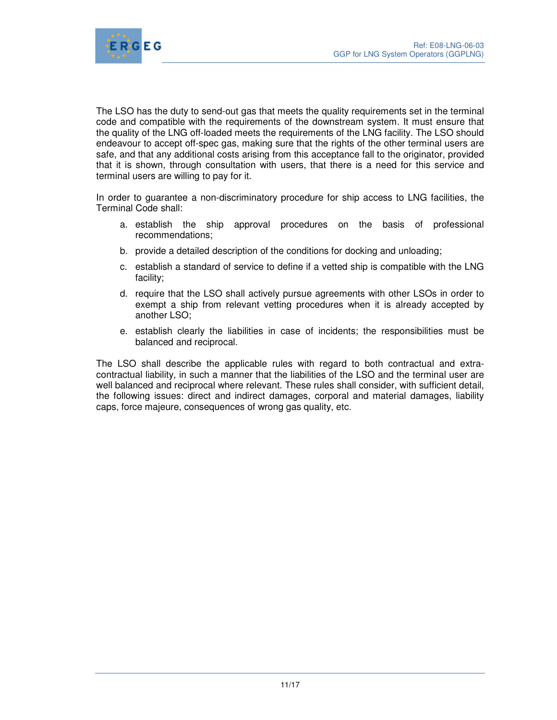

The LSO has the duty to send-out gas that meets the quality requirements set in the terminal code and compatible with the requirements of the downstream system. It must ensure that the quality of the LNG off-loaded meets the requirements of the LNG facility. The LSO should endeavour to accept off-spec gas, making sure that the rights of the other terminal users are safe, and that any additional costs arising from this acceptance fall to the originator, provided that it is shown, through consultation with users, that there is a need for this service and terminal users are willing to pay for it.

In order to guarantee a non-discriminatory procedure for ship access to LNG facilities, the Terminal Code shall:

- a. establish the ship approval procedures on the basis of professional recommendations;
- b. provide a detailed description of the conditions for docking and unloading;
- c. establish a standard of service to define if a vetted ship is compatible with the LNG facility;
- d. require that the LSO shall actively pursue agreements with other LSOs in order to exempt a ship from relevant vetting procedures when it is already accepted by another LSO;
- e. establish clearly the liabilities in case of incidents; the responsibilities must be balanced and reciprocal.

The LSO shall describe the applicable rules with regard to both contractual and extracontractual liability, in such a manner that the liabilities of the LSO and the terminal user are well balanced and reciprocal where relevant. These rules shall consider, with sufficient detail, the following issues: direct and indirect damages, corporal and material damages, liability caps, force majeure, consequences of wrong gas quality, etc.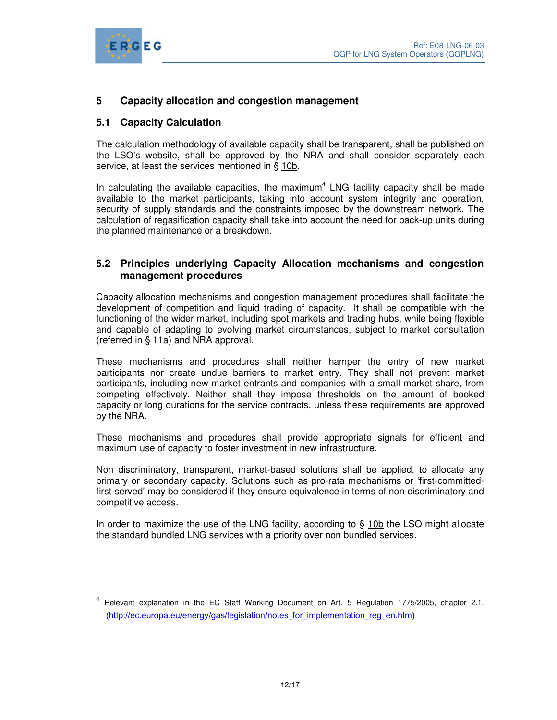

 $\overline{a}$ 

## **5 Capacity allocation and congestion management**

### **5.1 Capacity Calculation**

The calculation methodology of available capacity shall be transparent, shall be published on the LSO's website, shall be approved by the NRA and shall consider separately each service, at least the services mentioned in § 10b.

In calculating the available capacities, the maximum<sup>4</sup> LNG facility capacity shall be made available to the market participants, taking into account system integrity and operation, security of supply standards and the constraints imposed by the downstream network. The calculation of regasification capacity shall take into account the need for back-up units during the planned maintenance or a breakdown.

### **5.2 Principles underlying Capacity Allocation mechanisms and congestion management procedures**

Capacity allocation mechanisms and congestion management procedures shall facilitate the development of competition and liquid trading of capacity. It shall be compatible with the functioning of the wider market, including spot markets and trading hubs, while being flexible and capable of adapting to evolving market circumstances, subject to market consultation (referred in § 11a) and NRA approval.

These mechanisms and procedures shall neither hamper the entry of new market participants nor create undue barriers to market entry. They shall not prevent market participants, including new market entrants and companies with a small market share, from competing effectively. Neither shall they impose thresholds on the amount of booked capacity or long durations for the service contracts, unless these requirements are approved by the NRA.

These mechanisms and procedures shall provide appropriate signals for efficient and maximum use of capacity to foster investment in new infrastructure.

Non discriminatory, transparent, market-based solutions shall be applied, to allocate any primary or secondary capacity. Solutions such as pro-rata mechanisms or 'first-committedfirst-served' may be considered if they ensure equivalence in terms of non-discriminatory and competitive access.

In order to maximize the use of the LNG facility, according to § 10b the LSO might allocate the standard bundled LNG services with a priority over non bundled services.

<sup>&</sup>lt;sup>4</sup> Relevant explanation in the EC Staff Working Document on Art. 5 Regulation 1775/2005, chapter 2.1. (http://ec.europa.eu/energy/gas/legislation/notes\_for\_implementation\_reg\_en.htm)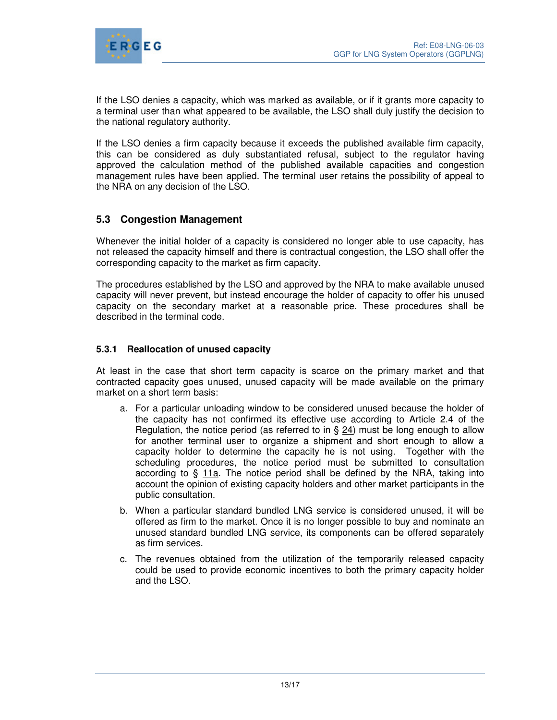

If the LSO denies a capacity, which was marked as available, or if it grants more capacity to a terminal user than what appeared to be available, the LSO shall duly justify the decision to the national regulatory authority.

If the LSO denies a firm capacity because it exceeds the published available firm capacity, this can be considered as duly substantiated refusal, subject to the regulator having approved the calculation method of the published available capacities and congestion management rules have been applied. The terminal user retains the possibility of appeal to the NRA on any decision of the LSO.

## **5.3 Congestion Management**

Whenever the initial holder of a capacity is considered no longer able to use capacity, has not released the capacity himself and there is contractual congestion, the LSO shall offer the corresponding capacity to the market as firm capacity.

The procedures established by the LSO and approved by the NRA to make available unused capacity will never prevent, but instead encourage the holder of capacity to offer his unused capacity on the secondary market at a reasonable price. These procedures shall be described in the terminal code.

### **5.3.1 Reallocation of unused capacity**

At least in the case that short term capacity is scarce on the primary market and that contracted capacity goes unused, unused capacity will be made available on the primary market on a short term basis:

- a. For a particular unloading window to be considered unused because the holder of the capacity has not confirmed its effective use according to Article 2.4 of the Regulation, the notice period (as referred to in  $\S$  24) must be long enough to allow for another terminal user to organize a shipment and short enough to allow a capacity holder to determine the capacity he is not using. Together with the scheduling procedures, the notice period must be submitted to consultation according to § 11a. The notice period shall be defined by the NRA, taking into account the opinion of existing capacity holders and other market participants in the public consultation.
- b. When a particular standard bundled LNG service is considered unused, it will be offered as firm to the market. Once it is no longer possible to buy and nominate an unused standard bundled LNG service, its components can be offered separately as firm services.
- c. The revenues obtained from the utilization of the temporarily released capacity could be used to provide economic incentives to both the primary capacity holder and the LSO.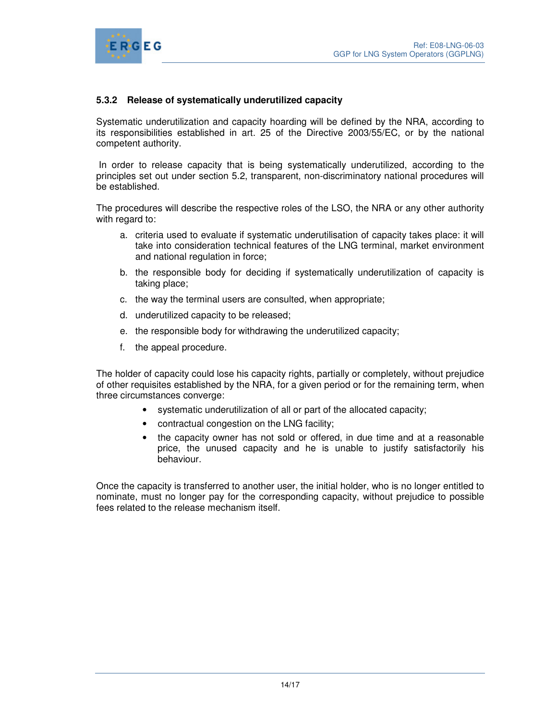



### **5.3.2 Release of systematically underutilized capacity**

Systematic underutilization and capacity hoarding will be defined by the NRA, according to its responsibilities established in art. 25 of the Directive 2003/55/EC, or by the national competent authority.

 In order to release capacity that is being systematically underutilized, according to the principles set out under section 5.2, transparent, non-discriminatory national procedures will be established.

The procedures will describe the respective roles of the LSO, the NRA or any other authority with regard to:

- a. criteria used to evaluate if systematic underutilisation of capacity takes place: it will take into consideration technical features of the LNG terminal, market environment and national regulation in force;
- b. the responsible body for deciding if systematically underutilization of capacity is taking place;
- c. the way the terminal users are consulted, when appropriate;
- d. underutilized capacity to be released;
- e. the responsible body for withdrawing the underutilized capacity;
- f. the appeal procedure.

The holder of capacity could lose his capacity rights, partially or completely, without prejudice of other requisites established by the NRA, for a given period or for the remaining term, when three circumstances converge:

- systematic underutilization of all or part of the allocated capacity;
- contractual congestion on the LNG facility;
- the capacity owner has not sold or offered, in due time and at a reasonable price, the unused capacity and he is unable to justify satisfactorily his behaviour.

Once the capacity is transferred to another user, the initial holder, who is no longer entitled to nominate, must no longer pay for the corresponding capacity, without prejudice to possible fees related to the release mechanism itself.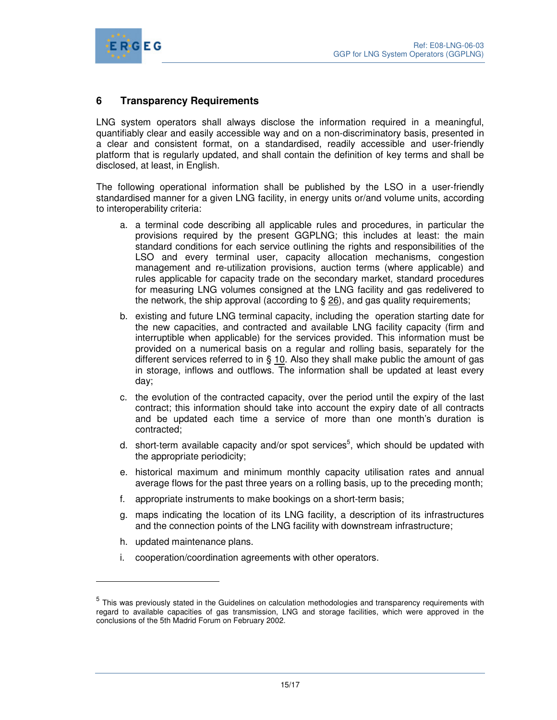

## **6 Transparency Requirements**

LNG system operators shall always disclose the information required in a meaningful, quantifiably clear and easily accessible way and on a non-discriminatory basis, presented in a clear and consistent format, on a standardised, readily accessible and user-friendly platform that is regularly updated, and shall contain the definition of key terms and shall be disclosed, at least, in English.

The following operational information shall be published by the LSO in a user-friendly standardised manner for a given LNG facility, in energy units or/and volume units, according to interoperability criteria:

- a. a terminal code describing all applicable rules and procedures, in particular the provisions required by the present GGPLNG; this includes at least: the main standard conditions for each service outlining the rights and responsibilities of the LSO and every terminal user, capacity allocation mechanisms, congestion management and re-utilization provisions, auction terms (where applicable) and rules applicable for capacity trade on the secondary market, standard procedures for measuring LNG volumes consigned at the LNG facility and gas redelivered to the network, the ship approval (according to § 26), and gas quality requirements;
- b. existing and future LNG terminal capacity, including the operation starting date for the new capacities, and contracted and available LNG facility capacity (firm and interruptible when applicable) for the services provided. This information must be provided on a numerical basis on a regular and rolling basis, separately for the different services referred to in  $\S$  10. Also they shall make public the amount of gas in storage, inflows and outflows. The information shall be updated at least every day;
- c. the evolution of the contracted capacity, over the period until the expiry of the last contract; this information should take into account the expiry date of all contracts and be updated each time a service of more than one month's duration is contracted;
- d. short-term available capacity and/or spot services<sup>5</sup>, which should be updated with the appropriate periodicity;
- e. historical maximum and minimum monthly capacity utilisation rates and annual average flows for the past three years on a rolling basis, up to the preceding month;
- f. appropriate instruments to make bookings on a short-term basis;
- g. maps indicating the location of its LNG facility, a description of its infrastructures and the connection points of the LNG facility with downstream infrastructure;
- h. updated maintenance plans.

 $\overline{a}$ 

i. cooperation/coordination agreements with other operators.

<sup>&</sup>lt;sup>5</sup> This was previously stated in the Guidelines on calculation methodologies and transparency requirements with regard to available capacities of gas transmission, LNG and storage facilities, which were approved in the conclusions of the 5th Madrid Forum on February 2002.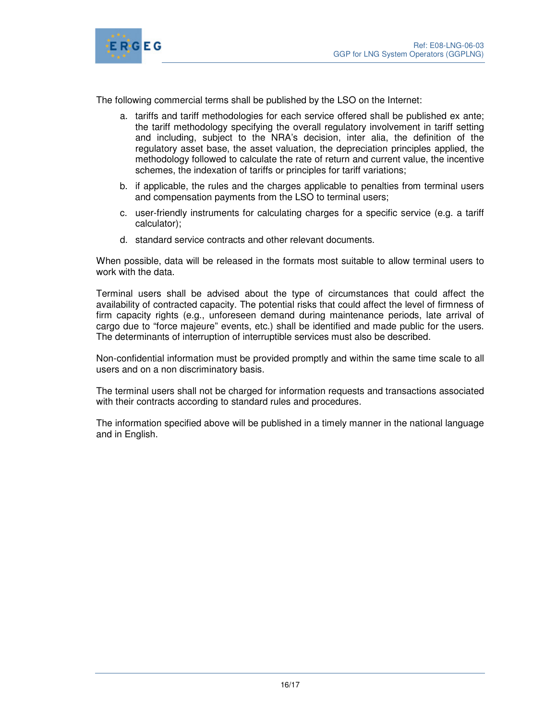

The following commercial terms shall be published by the LSO on the Internet:

- a. tariffs and tariff methodologies for each service offered shall be published ex ante; the tariff methodology specifying the overall regulatory involvement in tariff setting and including, subject to the NRA's decision, inter alia, the definition of the regulatory asset base, the asset valuation, the depreciation principles applied, the methodology followed to calculate the rate of return and current value, the incentive schemes, the indexation of tariffs or principles for tariff variations;
- b. if applicable, the rules and the charges applicable to penalties from terminal users and compensation payments from the LSO to terminal users;
- c. user-friendly instruments for calculating charges for a specific service (e.g. a tariff calculator);
- d. standard service contracts and other relevant documents.

When possible, data will be released in the formats most suitable to allow terminal users to work with the data.

Terminal users shall be advised about the type of circumstances that could affect the availability of contracted capacity. The potential risks that could affect the level of firmness of firm capacity rights (e.g., unforeseen demand during maintenance periods, late arrival of cargo due to "force majeure" events, etc.) shall be identified and made public for the users. The determinants of interruption of interruptible services must also be described.

Non-confidential information must be provided promptly and within the same time scale to all users and on a non discriminatory basis.

The terminal users shall not be charged for information requests and transactions associated with their contracts according to standard rules and procedures.

The information specified above will be published in a timely manner in the national language and in English.